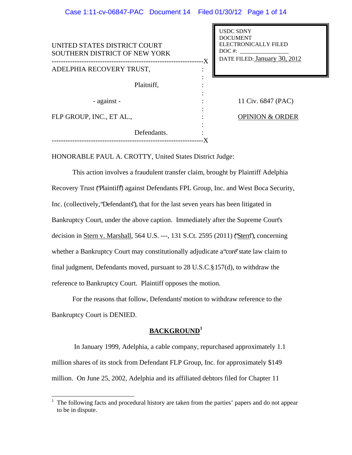| UNITED STATES DISTRICT COURT<br>SOUTHERN DISTRICT OF NEW YORK | -X | <b>USDC SDNY</b><br><b>DOCUMENT</b><br><b>ELECTRONICALLY FILED</b><br>$DOC$ #:<br>DATE FILED: January 30, 2012 |
|---------------------------------------------------------------|----|----------------------------------------------------------------------------------------------------------------|
| ADELPHIA RECOVERY TRUST,                                      |    |                                                                                                                |
| Plaitniff,                                                    |    |                                                                                                                |
| - against -                                                   |    | 11 Civ. 6847 (PAC)                                                                                             |
| FLP GROUP, INC., ET AL.,                                      |    | <b>OPINION &amp; ORDER</b>                                                                                     |
| Defendants.                                                   |    |                                                                                                                |

HONORABLE PAUL A. CROTTY, United States District Judge:

This action involves a fraudulent transfer claim, brought by Plaintiff Adelphia Recovery Trust (Plaintiff) against Defendants FPL Group, Inc. and West Boca Security, Inc. (collectively, "Defendants"), that for the last seven years has been litigated in Bankruptcy Court, under the above caption. Immediately after the Supreme Court's decision in Stern v. Marshall, 564 U.S. ---, 131 S.Ct. 2595 (2011) ("Stern"), concerning whether a Bankruptcy Court may constitutionally adjudicate a "core" state law claim to final judgment, Defendants moved, pursuant to 28 U.S.C. § 157(d), to withdraw the reference to Bankruptcy Court. Plaintiff opposes the motion.

For the reasons that follow, Defendants' motion to withdraw reference to the Bankruptcy Court is DENIED.

# **BACKGROUND<sup>1</sup>**

 In January 1999, Adelphia, a cable company, repurchased approximately 1.1 million shares of its stock from Defendant FLP Group, Inc. for approximately \$149 million. On June 25, 2002, Adelphia and its affiliated debtors filed for Chapter 11

<sup>&</sup>lt;sup>1</sup> The following facts and procedural history are taken from the parties' papers and do not appear to be in dispute.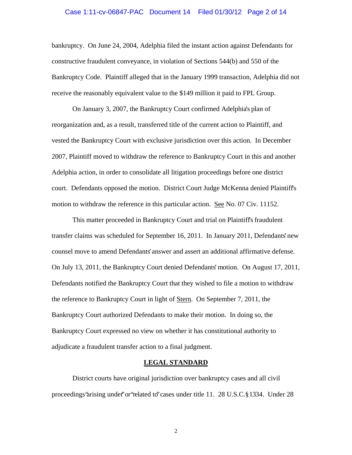#### Case 1:11-cv-06847-PAC Document 14 Filed 01/30/12 Page 2 of 14

bankruptcy. On June 24, 2004, Adelphia filed the instant action against Defendants for constructive fraudulent conveyance, in violation of Sections 544(b) and 550 of the Bankruptcy Code. Plaintiff alleged that in the January 1999 transaction, Adelphia did not receive the reasonably equivalent value to the \$149 million it paid to FPL Group.

On January 3, 2007, the Bankruptcy Court confirmed Adelphia's plan of reorganization and, as a result, transferred title of the current action to Plaintiff, and vested the Bankruptcy Court with exclusive jurisdiction over this action. In December 2007, Plaintiff moved to withdraw the reference to Bankruptcy Court in this and another Adelphia action, in order to consolidate all litigation proceedings before one district court. Defendants opposed the motion. District Court Judge McKenna denied Plaintiff's motion to withdraw the reference in this particular action. See No. 07 Civ. 11152.

This matter proceeded in Bankruptcy Court and trial on Plaintiff's fraudulent transfer claims was scheduled for September 16, 2011. In January 2011, Defendants' new counsel move to amend Defendants' answer and assert an additional affirmative defense. On July 13, 2011, the Bankruptcy Court denied Defendants' motion. On August 17, 2011, Defendants notified the Bankruptcy Court that they wished to file a motion to withdraw the reference to Bankruptcy Court in light of Stern. On September 7, 2011, the Bankruptcy Court authorized Defendants to make their motion. In doing so, the Bankruptcy Court expressed no view on whether it has constitutional authority to adjudicate a fraudulent transfer action to a final judgment.

### **LEGAL STANDARD**

District courts have original jurisdiction over bankruptcy cases and all civil proceedings 'arising under' or 'related to' cases under title 11. 28 U.S.C. § 1334. Under 28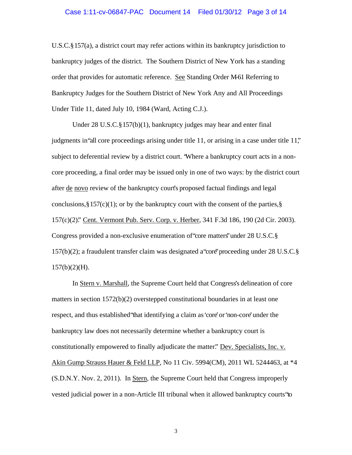#### Case 1:11-cv-06847-PAC Document 14 Filed 01/30/12 Page 3 of 14

U.S.C. § 157(a), a district court may refer actions within its bankruptcy jurisdiction to bankruptcy judges of the district. The Southern District of New York has a standing order that provides for automatic reference. See Standing Order M–61 Referring to Bankruptcy Judges for the Southern District of New York Any and All Proceedings Under Title 11, dated July 10, 1984 (Ward, Acting C.J.).

Under 28 U.S.C. § 157(b)(1), bankruptcy judges may hear and enter final judgments in "all core proceedings arising under title 11, or arising in a case under title 11," subject to deferential review by a district court. "Where a bankruptcy court acts in a noncore proceeding, a final order may be issued only in one of two ways: by the district court after de novo review of the bankruptcy court's proposed factual findings and legal conclusions,  $\S 157(c)(1)$ ; or by the bankruptcy court with the consent of the parties,  $\S$ 157(c)(2)." Cent. Vermont Pub. Serv. Corp. v. Herber, 341 F.3d 186, 190 (2d Cir. 2003). Congress provided a non-exclusive enumeration of "core matters" under 28 U.S.C. § 157(b)(2); a fraudulent transfer claim was designated a "core" proceeding under 28 U.S.C. §  $157(b)(2)(H)$ .

In Stern v. Marshall, the Supreme Court held that Congress's delineation of core matters in section  $1572(b)(2)$  overstepped constitutional boundaries in at least one respect, and thus established that identifying a claim as 'core' or 'non-core' under the bankruptcy law does not necessarily determine whether a bankruptcy court is constitutionally empowered to finally adjudicate the matter." Dev. Specialists, Inc. v. Akin Gump Strauss Hauer & Feld LLP, No 11 Civ. 5994(CM), 2011 WL 5244463, at \*4 (S.D.N.Y. Nov. 2, 2011). In Stern, the Supreme Court held that Congress improperly vested judicial power in a non-Article III tribunal when it allowed bankruptcy courts "to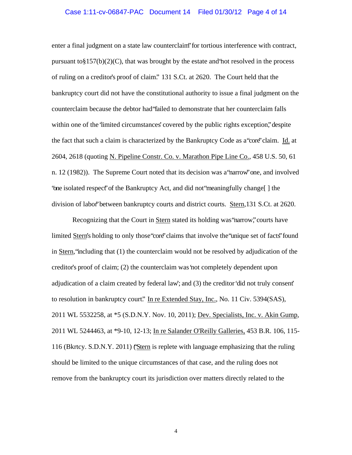#### Case 1:11-cv-06847-PAC Document 14 Filed 01/30/12 Page 4 of 14

enter a final judgment on a state law counterclaim" for tortious interference with contract, pursuant to  $\S 157(b)(2)(C)$ , that was brought by the estate and not resolved in the process of ruling on a creditor's proof of claim." 131 S.Ct. at 2620. The Court held that the bankruptcy court did not have the constitutional authority to issue a final judgment on the counterclaim because the debtor had "failed to demonstrate that her counterclaim falls within one of the 'limited circumstances' covered by the public rights exception," despite the fact that such a claim is characterized by the Bankruptcy Code as a "core" claim. Id. at 2604, 2618 (quoting N. Pipeline Constr. Co. v. Marathon Pipe Line Co., 458 U.S. 50, 61 n. 12 (1982)). The Supreme Court noted that its decision was a narrow one, and involved "one isolated respect" of the Bankruptcy Act, and did not "meaningfully change[ ] the division of labor" between bankruptcy courts and district courts. Stern,131 S.Ct. at 2620.

Recognizing that the Court in Stern stated its holding was "narrow," courts have limited Stern's holding to only those "core" claims that involve the "unique set of facts" found in Stern, "including that (1) the counterclaim would not be resolved by adjudication of the creditor's proof of claim; (2) the counterclaim was 'not completely dependent upon adjudication of a claim created by federal law'; and (3) the creditor 'did not truly consent' to resolution in bankruptcy court." In re Extended Stay, Inc., No. 11 Civ. 5394(SAS), 2011 WL 5532258, at \*5 (S.D.N.Y. Nov. 10, 2011); Dev. Specialists, Inc. v. Akin Gump, 2011 WL 5244463, at \*9-10, 12-13; In re Salander O'Reilly Galleries, 453 B.R. 106, 115- 116 (Bkrtcy. S.D.N.Y. 2011) ("Stern is replete with language emphasizing that the ruling should be limited to the unique circumstances of that case, and the ruling does not remove from the bankruptcy court its jurisdiction over matters directly related to the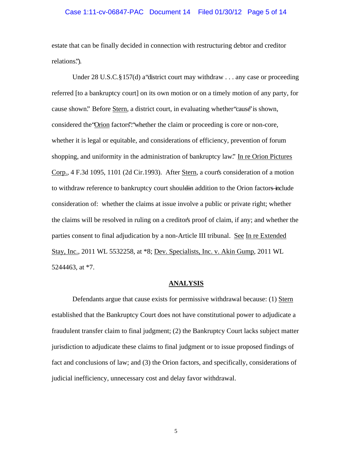### Case 1:11-cv-06847-PAC Document 14 Filed 01/30/12 Page 5 of 14

estate that can be finally decided in connection with restructuring debtor and creditor relations.").

Under 28 U.S.C. § 157(d) a "district court may withdraw  $\ldots$  any case or proceeding referred [to a bankruptcy court] on its own motion or on a timely motion of any party, for cause shown." Before Stern, a district court, in evaluating whether "cause" is shown, considered the "Orion factors": "whether the claim or proceeding is core or non-core, whether it is legal or equitable, and considerations of efficiency, prevention of forum shopping, and uniformity in the administration of bankruptcy law." In re Orion Pictures Corp., 4 F.3d 1095, 1101 (2d Cir.1993). After Stern, a court's consideration of a motion to withdraw reference to bankruptcy court should in addition to the Orion factors–include consideration of: whether the claims at issue involve a public or private right; whether the claims will be resolved in ruling on a creditor's proof of claim, if any; and whether the parties consent to final adjudication by a non-Article III tribunal. See In re Extended Stay, Inc., 2011 WL 5532258, at \*8; Dev. Specialists, Inc. v. Akin Gump, 2011 WL 5244463, at \*7.

### **ANALYSIS**

 Defendants argue that cause exists for permissive withdrawal because: (1) Stern established that the Bankruptcy Court does not have constitutional power to adjudicate a fraudulent transfer claim to final judgment; (2) the Bankruptcy Court lacks subject matter jurisdiction to adjudicate these claims to final judgment or to issue proposed findings of fact and conclusions of law; and (3) the Orion factors, and specifically, considerations of judicial inefficiency, unnecessary cost and delay favor withdrawal.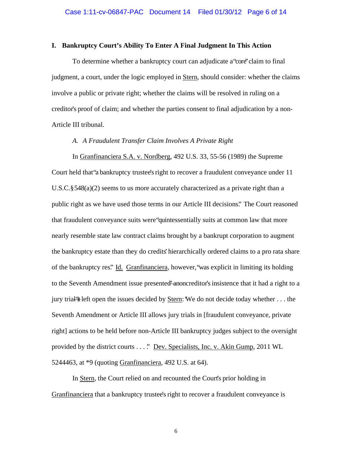#### **I. Bankruptcy Court's Ability To Enter A Final Judgment In This Action**

To determine whether a bankruptcy court can adjudicate a "core" claim to final judgment, a court, under the logic employed in Stern, should consider: whether the claims involve a public or private right; whether the claims will be resolved in ruling on a creditor's proof of claim; and whether the parties consent to final adjudication by a non-Article III tribunal.

### *A. A Fraudulent Transfer Claim Involves A Private Right*

In Granfinanciera S.A. v. Nordberg, 492 U.S. 33, 55-56 (1989) the Supreme Court held that "a bankruptcy trustee's right to recover a fraudulent conveyance under 11 U.S.C. § 548(a)(2) seems to us more accurately characterized as a private right than a public right as we have used those terms in our Article III decisions." The Court reasoned that fraudulent conveyance suits were "quintessentially suits at common law that more nearly resemble state law contract claims brought by a bankrupt corporation to augment the bankruptcy estate than they do credits' hierarchically ordered claims to a pro rata share of the bankruptcy res." Id. Granfinanciera, however, "was explicit in limiting its holding to the Seventh Amendment issue presented anoncreditor's insistence that it had a right to a jury trial—"it left open the issues decided by Stern: We do not decide today whether  $\dots$  the Seventh Amendment or Article III allows jury trials in [fraudulent conveyance, private right] actions to be held before non-Article III bankruptcy judges subject to the oversight provided by the district courts . . . ." Dev. Specialists, Inc. v. Akin Gump, 2011 WL 5244463, at \*9 (quoting Granfinanciera, 492 U.S. at 64).

In Stern, the Court relied on and recounted the Court's prior holding in Granfinanciera that a bankruptcy trustee's right to recover a fraudulent conveyance is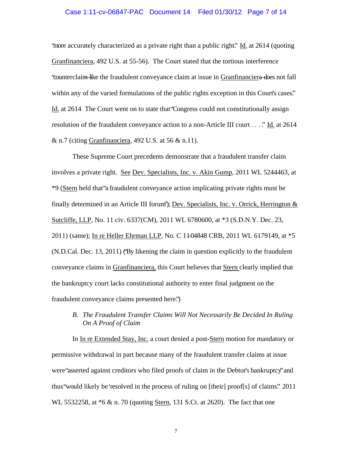#### Case 1:11-cv-06847-PAC Document 14 Filed 01/30/12 Page 7 of 14

"more accurately characterized as a private right than a public right." Id. at 2614 (quoting Granfinanciera, 492 U.S. at 55-56). The Court stated that the tortious interference "counterclaim—like the fraudulent conveyance claim at issue in Granfinanciera—does not fall within any of the varied formulations of the public rights exception in this Court's cases." Id. at 2614 The Court went on to state that "Congress could not constitutionally assign resolution of the fraudulent conveyance action to a non-Article III court . . . ." Id. at 2614  $&$  n.7 (citing Granfinanciera, 492 U.S. at 56  $&$  n.11).

These Supreme Court precedents demonstrate that a fraudulent transfer claim involves a private right. See Dev. Specialists, Inc. v. Akin Gump, 2011 WL 5244463, at \*9 (Stern held that "a fraudulent conveyance action implicating private rights must be finally determined in an Article III forum'); Dev. Specialists, Inc. v. Orrick, Herrington  $\&$ Sutcliffe, LLP, No. 11 civ. 6337(CM), 2011 WL 6780600, at \*3 (S.D.N.Y. Dec. 23, 2011) (same); In re Heller Ehrman LLP, No. C 11-04848 CRB, 2011 WL 6179149, at \*5 (N.D.Cal. Dec. 13, 2011) ("By likening the claim in question explicitly to the fraudulent conveyance claims in Granfinanciera, this Court believes that Stern clearly implied that the bankruptcy court lacks constitutional authority to enter final judgment on the fraudulent conveyance claims presented here.")

## *B. The Fraudulent Transfer Claims Will Not Necessarily Be Decided In Ruling On A Proof of Claim*

In In re Extended Stay, Inc. a court denied a post-Stern motion for mandatory or permissive withdrawal in part because many of the fraudulent transfer claims at issue were "asserted against creditors who filed proofs of claim in the Debtor's bankruptcy" and thus "would likely be 'resolved in the process of ruling on [their] proof[s] of claims." 2011 WL 5532258, at  $*6 \& n. 70$  (quoting Stern, 131 S.Ct. at 2620). The fact that one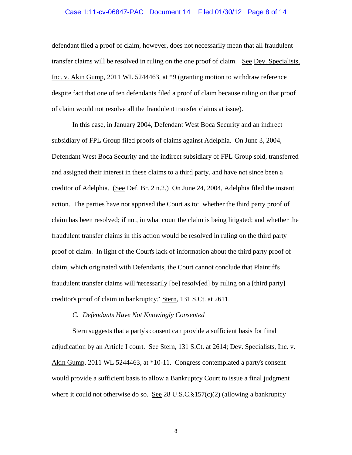#### Case 1:11-cv-06847-PAC Document 14 Filed 01/30/12 Page 8 of 14

defendant filed a proof of claim, however, does not necessarily mean that all fraudulent transfer claims will be resolved in ruling on the one proof of claim. See Dev. Specialists, Inc. v. Akin Gump, 2011 WL 5244463, at \*9 (granting motion to withdraw reference despite fact that one of ten defendants filed a proof of claim because ruling on that proof of claim would not resolve all the fraudulent transfer claims at issue).

In this case, in January 2004, Defendant West Boca Security and an indirect subsidiary of FPL Group filed proofs of claims against Adelphia. On June 3, 2004, Defendant West Boca Security and the indirect subsidiary of FPL Group sold, transferred and assigned their interest in these claims to a third party, and have not since been a creditor of Adelphia. (See Def. Br. 2 n.2.) On June 24, 2004, Adelphia filed the instant action. The parties have not apprised the Court as to: whether the third party proof of claim has been resolved; if not, in what court the claim is being litigated; and whether the fraudulent transfer claims in this action would be resolved in ruling on the third party proof of claim. In light of the Court's lack of information about the third party proof of claim, which originated with Defendants, the Court cannot conclude that Plaintiff's fraudulent transfer claims will "necessarily [be] resolv[ed] by ruling on a [third party] creditor's proof of claim in bankruptcy." Stern, 131 S.Ct. at 2611.

### *C. Defendants Have Not Knowingly Consented*

Stern suggests that a party's consent can provide a sufficient basis for final adjudication by an Article I court. See Stern, 131 S.Ct. at 2614; Dev. Specialists, Inc. v. Akin Gump, 2011 WL 5244463, at \*10-11. Congress contemplated a party's consent would provide a sufficient basis to allow a Bankruptcy Court to issue a final judgment where it could not otherwise do so. See 28 U.S.C.  $\S 157(c)(2)$  (allowing a bankruptcy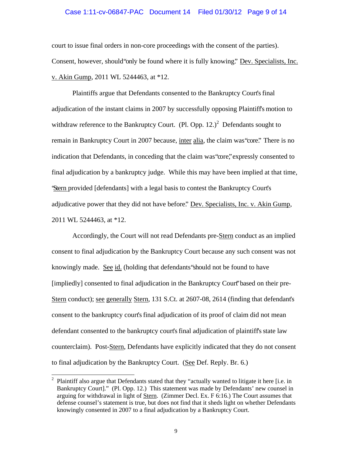#### Case 1:11-cv-06847-PAC Document 14 Filed 01/30/12 Page 9 of 14

court to issue final orders in non-core proceedings with the consent of the parties). Consent, however, should "only be found where it is fully knowing." Dev. Specialists, Inc. v. Akin Gump, 2011 WL 5244463, at \*12.

Plaintiffs argue that Defendants consented to the Bankruptcy Court's final adjudication of the instant claims in 2007 by successfully opposing Plaintiff's motion to withdraw reference to the Bankruptcy Court. (Pl. Opp.  $12.^{2}$  Defendants sought to remain in Bankruptcy Court in 2007 because, inter alia, the claim was "core." There is no indication that Defendants, in conceding that the claim was "core," expressly consented to final adjudication by a bankruptcy judge. While this may have been implied at that time, "Stern provided [defendants] with a legal basis to contest the Bankruptcy Court's adjudicative power that they did not have before." Dev. Specialists, Inc. v. Akin Gump, 2011 WL 5244463, at \*12.

Accordingly, the Court will not read Defendants pre-Stern conduct as an implied consent to final adjudication by the Bankruptcy Court because any such consent was not knowingly made. See id. (holding that defendants "should not be found to have [impliedly] consented to final adjudication in the Bankruptcy Court" based on their pre-Stern conduct); see generally Stern, 131 S.Ct. at 2607-08, 2614 (finding that defendant's consent to the bankruptcy court's final adjudication of its proof of claim did not mean defendant consented to the bankruptcy court's final adjudication of plaintiff's state law counterclaim). Post-Stern, Defendants have explicitly indicated that they do not consent to final adjudication by the Bankruptcy Court. (See Def. Reply. Br. 6.)

 $\overline{\phantom{a}}$ 

<sup>&</sup>lt;sup>2</sup> Plaintiff also argue that Defendants stated that they "actually wanted to litigate it here [i.e. in Bankruptcy Court]." (Pl. Opp. 12.) This statement was made by Defendants' new counsel in arguing for withdrawal in light of Stern. (Zimmer Decl. Ex. F 6:16.) The Court assumes that defense counsel's statement is true, but does not find that it sheds light on whether Defendants knowingly consented in 2007 to a final adjudication by a Bankruptcy Court.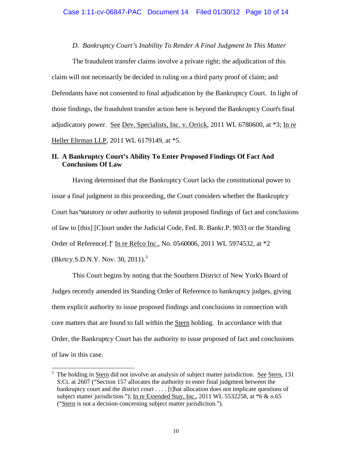## *D. Bankruptcy Court's Inability To Render A Final Judgment In This Matter*

The fraudulent transfer claims involve a private right; the adjudication of this claim will not necessarily be decided in ruling on a third party proof of claim; and Defendants have not consented to final adjudication by the Bankruptcy Court. In light of those findings, the fraudulent transfer action here is beyond the Bankruptcy Court's final adjudicatory power. See Dev. Specialists, Inc. v. Orrick, 2011 WL 6780600, at \*3; In re Heller Ehrman LLP, 2011 WL 6179149, at \*5.

## **II. A Bankruptcy Court's Ability To Enter Proposed Findings Of Fact And Conclusions Of Law**

Having determined that the Bankruptcy Court lacks the constitutional power to issue a final judgment in this proceeding, the Court considers whether the Bankruptcy Court has "statutory or other authority to submit proposed findings of fact and conclusions of law to [this] [C]ourt under the Judicial Code, Fed. R. Bankr.P. 9033 or the Standing Order of Reference[.]" In re Refco Inc., No. 05–60006, 2011 WL 5974532, at \*2 (Bkrtcy.S.D.N.Y. Nov. 30, 2011).<sup>3</sup>

This Court begins by noting that the Southern District of New York's Board of Judges recently amended its Standing Order of Reference to bankruptcy judges, giving them explicit authority to issue proposed findings and conclusions in connection with core matters that are found to fall within the Stern holding. In accordance with that Order, the Bankruptcy Court has the authority to issue proposed of fact and conclusions of law in this case.

 $\overline{a}$ 

<sup>3</sup> The holding in Stern did not involve an analysis of subject matter jurisdiction. See Stern, 131 S.Ct. at 2607 ("Section 157 allocates the authority to enter final judgment between the bankruptcy court and the district court . . . . [t]hat allocation does not implicate questions of subject matter jurisdiction."); In re Extended Stay, Inc., 2011 WL 5532258, at \*6 & n.65 ("Stern is not a decision concerning subject matter jurisdiction.").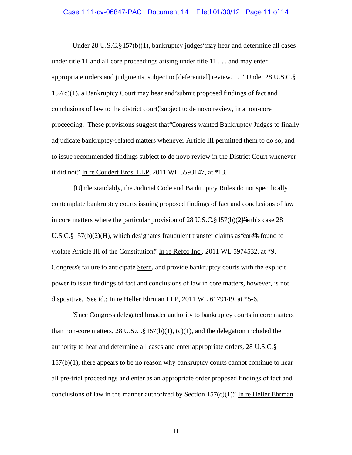#### Case 1:11-cv-06847-PAC Document 14 Filed 01/30/12 Page 11 of 14

Under 28 U.S.C. § 157(b)(1), bankruptcy judges "may hear and determine all cases under title 11 and all core proceedings arising under title 11 . . . and may enter appropriate orders and judgments, subject to [deferential] review. . . ." Under 28 U.S.C. § 157(c)(1), a Bankruptcy Court may hear and "submit proposed findings of fact and conclusions of law to the district court," subject to de novo review, in a non-core proceeding. These provisions suggest that "Congress wanted Bankruptcy Judges to finally adjudicate bankruptcy-related matters whenever Article III permitted them to do so, and to issue recommended findings subject to de novo review in the District Court whenever it did not." In re Coudert Bros. LLP, 2011 WL 5593147, at \*13.

"[U]nderstandably, the Judicial Code and Bankruptcy Rules do not specifically contemplate bankruptcy courts issuing proposed findings of fact and conclusions of law in core matters where the particular provision of 28 U.S.C. § 157(b)(2)  $\ddot{P}$  in this case 28 U.S.C. § 157(b)(2)(H), which designates fraudulent transfer claims as "core" $\frac{1}{2}$  found to violate Article III of the Constitution." In re Refco Inc., 2011 WL 5974532, at  $*9$ . Congress's failure to anticipate Stern, and provide bankruptcy courts with the explicit power to issue findings of fact and conclusions of law in core matters, however, is not dispositive. See id.; In re Heller Ehrman LLP, 2011 WL 6179149, at \*5-6.

"Since Congress delegated broader authority to bankruptcy courts in core matters than non-core matters,  $28 \text{ U.S.C.} \frac{8157(b)(1)}{c(1)}$ , and the delegation included the authority to hear and determine all cases and enter appropriate orders, 28 U.S.C. §  $157(b)(1)$ , there appears to be no reason why bankruptcy courts cannot continue to hear all pre-trial proceedings and enter as an appropriate order proposed findings of fact and conclusions of law in the manner authorized by Section 157 $(c)(1)$ ." In re Heller Ehrman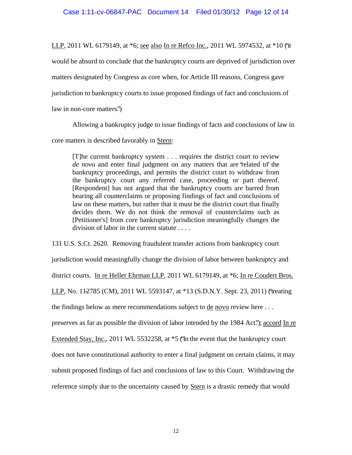LLP, 2011 WL 6179149, at \*6; <u>see also In re Refco Inc.</u>, 2011 WL 5974532, at \*10 ('it

would be absurd to conclude that the bankruptcy courts are deprived of jurisdiction over

matters designated by Congress as core when, for Article III reasons, Congress gave

jurisdiction to bankruptcy courts to issue proposed findings of fact and conclusions of

law in non-core matters.")

Allowing a bankruptcy judge to issue findings of facts and conclusions of law in

core matters is described favorably in Stern:

[T]he current bankruptcy system . . . requires the district court to review *de novo* and enter final judgment on any matters that are "related to" the bankruptcy proceedings, and permits the district court to withdraw from the bankruptcy court any referred case, proceeding or part thereof. [Respondent] has not argued that the bankruptcy courts are barred from hearing all counterclaims or proposing findings of fact and conclusions of law on these matters, but rather that it must be the district court that finally decides them. We do not think the removal of counterclaims such as [Petitioner's] from core bankruptcy jurisdiction meaningfully changes the division of labor in the current statute . . . .

131 U.S. S.Ct. 2620. Removing fraudulent transfer actions from bankruptcy court jurisdiction would meaningfully change the division of labor between bankruptcy and district courts. In re Heller Ehrman LLP, 2011 WL 6179149, at \*6; In re Coudert Bros. LLP, No. 11-2785 (CM), 2011 WL 5593147, at \*13 (S.D.N.Y. Sept. 23, 2011) ('treating the findings below as mere recommendations subject to de novo review here . . . preserves as far as possible the division of labor intended by the 1984 Act."); accord In re Extended Stay, Inc., 2011 WL 5532258, at \*5 ("In the event that the bankruptcy court does not have constitutional authority to enter a final judgment on certain claims, it may submit proposed findings of fact and conclusions of law to this Court. Withdrawing the reference simply due to the uncertainty caused by Stern is a drastic remedy that would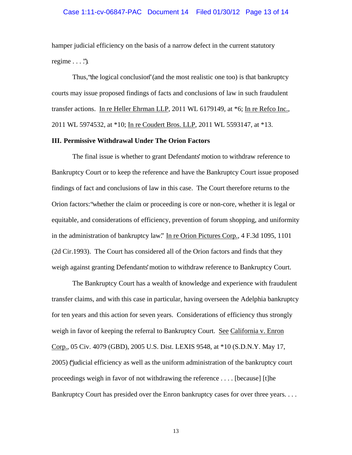#### Case 1:11-cv-06847-PAC Document 14 Filed 01/30/12 Page 13 of 14

hamper judicial efficiency on the basis of a narrow defect in the current statutory regime  $\ldots$  .").

Thus, "the logical conclusion" (and the most realistic one too) is that bankruptcy courts may issue proposed findings of facts and conclusions of law in such fraudulent transfer actions. In re Heller Ehrman LLP, 2011 WL 6179149, at \*6; In re Refco Inc., 2011 WL 5974532, at \*10; In re Coudert Bros. LLP, 2011 WL 5593147, at \*13.

## **III. Permissive Withdrawal Under The Orion Factors**

The final issue is whether to grant Defendants' motion to withdraw reference to Bankruptcy Court or to keep the reference and have the Bankruptcy Court issue proposed findings of fact and conclusions of law in this case. The Court therefore returns to the Orion factors: "whether the claim or proceeding is core or non-core, whether it is legal or equitable, and considerations of efficiency, prevention of forum shopping, and uniformity in the administration of bankruptcy law." In re Orion Pictures Corp., 4 F.3d 1095, 1101 (2d Cir.1993). The Court has considered all of the Orion factors and finds that they weigh against granting Defendants' motion to withdraw reference to Bankruptcy Court.

The Bankruptcy Court has a wealth of knowledge and experience with fraudulent transfer claims, and with this case in particular, having overseen the Adelphia bankruptcy for ten years and this action for seven years. Considerations of efficiency thus strongly weigh in favor of keeping the referral to Bankruptcy Court. See California v. Enron Corp., 05 Civ. 4079 (GBD), 2005 U.S. Dist. LEXIS 9548, at \*10 (S.D.N.Y. May 17, 2005) ("judicial efficiency as well as the uniform administration of the bankruptcy court proceedings weigh in favor of not withdrawing the reference . . . . [because] [t]he Bankruptcy Court has presided over the Enron bankruptcy cases for over three years. . . .